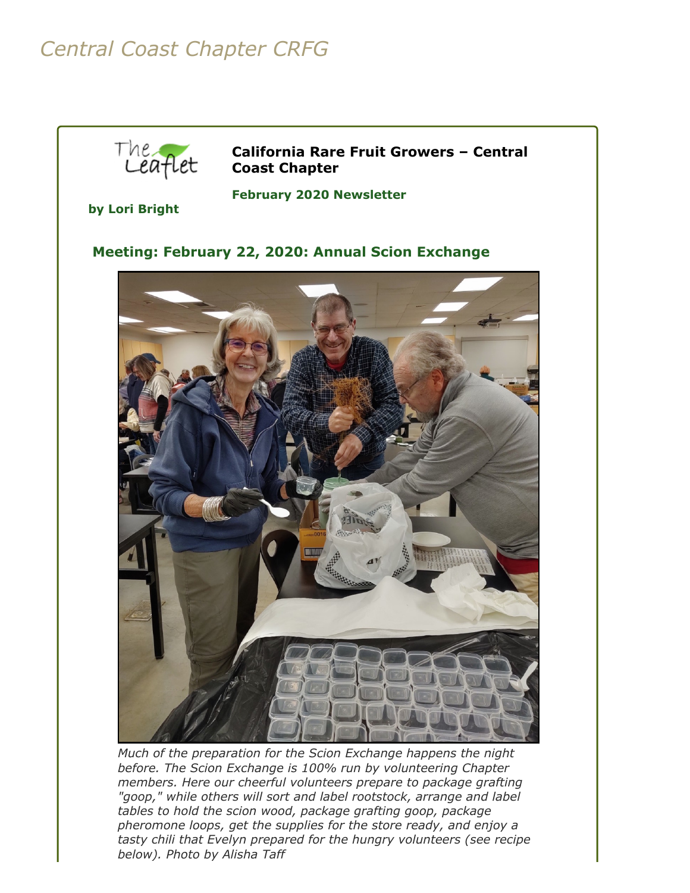# *Central Coast Chapter CRFG*



**California Rare Fruit Growers – Central Coast Chapter**

**by Lori Bright**

**February 2020 Newsletter** 

## **Meeting: February 22, 2020: Annual Scion Exchange**



*Much of the preparation for the Scion Exchange happens the night before. The Scion Exchange is 100% run by volunteering Chapter members. Here our cheerful volunteers prepare to package grafting "goop," while others will sort and label rootstock, arrange and label tables to hold the scion wood, package grafting goop, package pheromone loops, get the supplies for the store ready, and enjoy a tasty chili that Evelyn prepared for the hungry volunteers (see recipe below). Photo by Alisha Taff*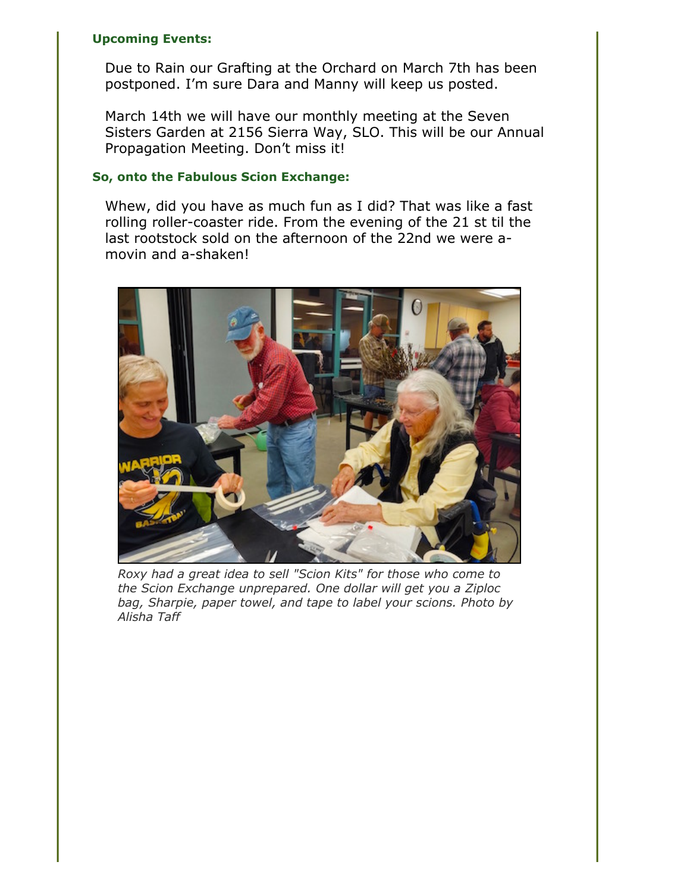#### **Upcoming Events:**

Due to Rain our Grafting at the Orchard on March 7th has been postponed. I'm sure Dara and Manny will keep us posted.

March 14th we will have our monthly meeting at the Seven Sisters Garden at 2156 Sierra Way, SLO. This will be our Annual Propagation Meeting. Don't miss it!

#### **So, onto the Fabulous Scion Exchange:**

Whew, did you have as much fun as I did? That was like a fast rolling roller-coaster ride. From the evening of the 21 st til the last rootstock sold on the afternoon of the 22nd we were amovin and a-shaken!



*Roxy had a great idea to sell "Scion Kits" for those who come to the Scion Exchange unprepared. One dollar will get you a Ziploc bag, Sharpie, paper towel, and tape to label your scions. Photo by Alisha Taff*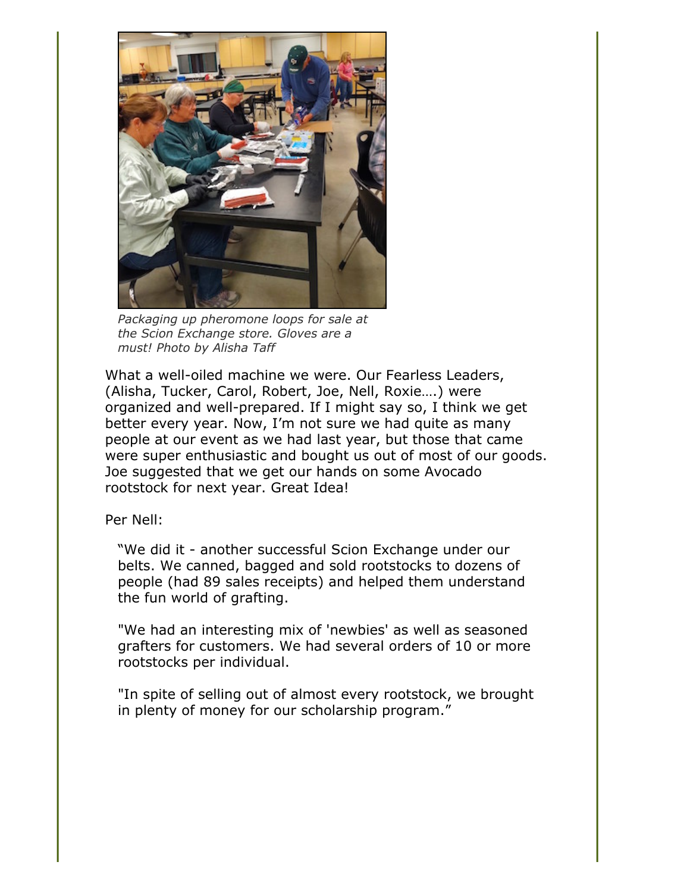

*Packaging up pheromone loops for sale at the Scion Exchange store. Gloves are a must! Photo by Alisha Taff*

What a well-oiled machine we were. Our Fearless Leaders, (Alisha, Tucker, Carol, Robert, Joe, Nell, Roxie….) were organized and well-prepared. If I might say so, I think we get better every year. Now, I'm not sure we had quite as many people at our event as we had last year, but those that came were super enthusiastic and bought us out of most of our goods. Joe suggested that we get our hands on some Avocado rootstock for next year. Great Idea!

Per Nell:

"We did it - another successful Scion Exchange under our belts. We canned, bagged and sold rootstocks to dozens of people (had 89 sales receipts) and helped them understand the fun world of grafting.

"We had an interesting mix of 'newbies' as well as seasoned grafters for customers. We had several orders of 10 or more rootstocks per individual.

"In spite of selling out of almost every rootstock, we brought in plenty of money for our scholarship program."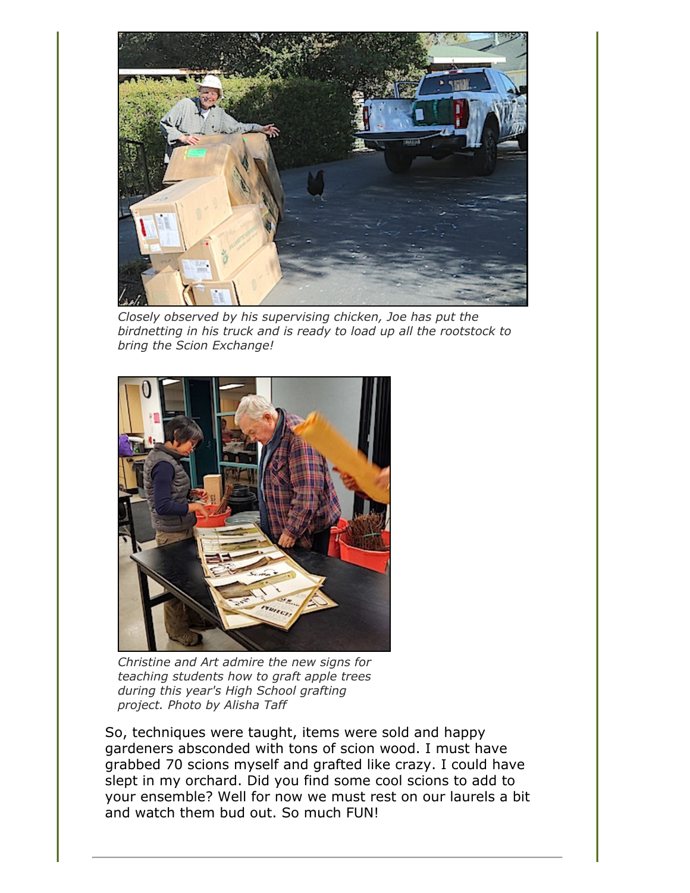

*Closely observed by his supervising chicken, Joe has put the birdnetting in his truck and is ready to load up all the rootstock to bring the Scion Exchange!*



*Christine and Art admire the new signs for teaching students how to graft apple trees during this year's High School grafting project. Photo by Alisha Taff*

So, techniques were taught, items were sold and happy gardeners absconded with tons of scion wood. I must have grabbed 70 scions myself and grafted like crazy. I could have slept in my orchard. Did you find some cool scions to add to your ensemble? Well for now we must rest on our laurels a bit and watch them bud out. So much FUN!